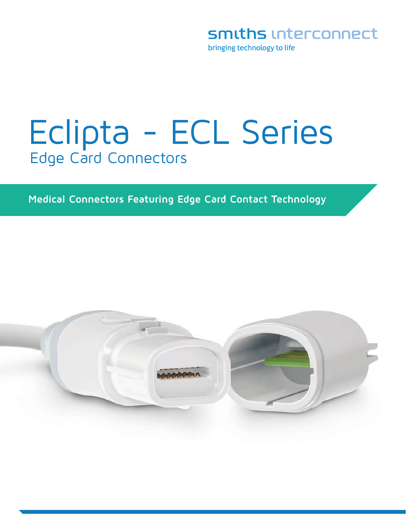smiths interconnect

bringing technology to life

# Eclipta - ECL Series Edge Card Connectors

### **Medical Connectors Featuring Edge Card Contact Technology**

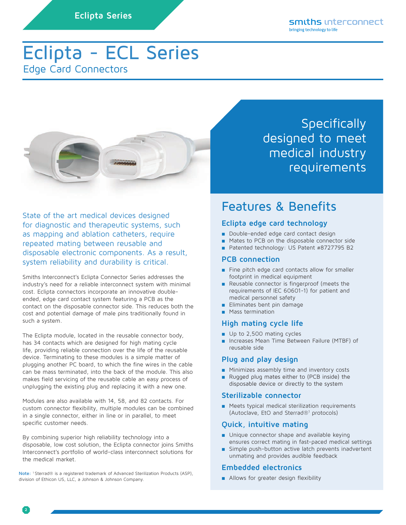# Eclipta - ECL Series Edge Card Connectors



State of the art medical devices designed for diagnostic and therapeutic systems, such as mapping and ablation catheters, require repeated mating between reusable and disposable electronic components. As a result, system reliability and durability is critical.

Smiths Interconnect's Eclipta Connector Series addresses the industry's need for a reliable interconnect system with minimal cost. Eclipta connectors incorporate an innovative doubleended, edge card contact system featuring a PCB as the contact on the disposable connector side. This reduces both the cost and potential damage of male pins traditionally found in such a system.

The Eclipta module, located in the reusable connector body, has 34 contacts which are designed for high mating cycle life, providing reliable connection over the life of the reusable device. Terminating to these modules is a simple matter of plugging another PC board, to which the fine wires in the cable can be mass terminated, into the back of the module. This also makes field servicing of the reusable cable an easy process of unplugging the existing plug and replacing it with a new one.

Modules are also available with 14, 58, and 82 contacts. For custom connector flexibility, multiple modules can be combined in a single connector, either in line or in parallel, to meet specific customer needs.

By combining superior high reliability technology into a disposable, low cost solution, the Eclipta connector joins Smiths Interconnect's portfolio of world-class interconnect solutions for the medical market.

**Note:** 1 Sterrad® is a registered trademark of Advanced Sterilization Products (ASP), division of Ethicon US, LLC, a Johnson & Johnson Company.

**Specifically** designed to meet medical industry requirements

## Features & Benefits

### **Eclipta edge card technology**

- Double-ended edge card contact design
- Mates to PCB on the disposable connector side
- Patented technology: US Patent #8727795 B2

### **PCB connection**

- Fine pitch edge card contacts allow for smaller footprint in medical equipment
- Reusable connector is fingerproof (meets the requirements of IEC 60601-1) for patient and medical personnel safety
- Eliminates bent pin damage
- Mass termination

### **High mating cycle life**

- Up to 2,500 mating cycles
- Increases Mean Time Between Failure (MTBF) of reusable side

### **Plug and play design**

- Minimizes assembly time and inventory costs
- Rugged plug mates either to (PCB inside) the disposable device or directly to the system

#### **Sterilizable connector**

■ Meets typical medical sterilization requirements (Autoclave, EtO and Sterrad®1 protocols)

### **Quick, intuitive mating**

- Unique connector shape and available keying ensures correct mating in fast-paced medical settings
- Simple push-button active latch prevents inadvertent unmating and provides audible feedback

### **Embedded electronics**

■ Allows for greater design flexibility

**2**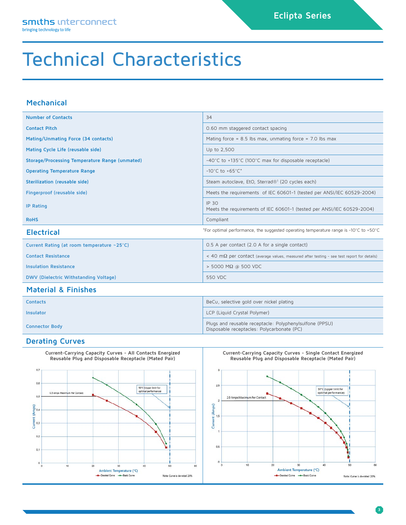# Technical Characteristics

### **Mechanical**

| <b>Number of Contacts</b>                                                                                  | 34                                                                                                 |  |  |  |
|------------------------------------------------------------------------------------------------------------|----------------------------------------------------------------------------------------------------|--|--|--|
| <b>Contact Pitch</b>                                                                                       | 0.60 mm staggered contact spacing                                                                  |  |  |  |
| Mating/Unmating Force (34 contacts)                                                                        | Mating force = $8.5$ lbs max, unmating force = $7.0$ lbs max                                       |  |  |  |
| Mating Cycle Life (reusable side)                                                                          | Up to 2,500                                                                                        |  |  |  |
| Storage/Processing Temperature Range (unmated)                                                             | -40°C to +135°C (100°C max for disposable receptacle)                                              |  |  |  |
| <b>Operating Temperature Range</b>                                                                         | $-10^{\circ}$ C to $+65^{\circ}$ C*                                                                |  |  |  |
| Sterilization (reusable side)                                                                              | Steam autoclave, EtO, Sterrad® <sup>1</sup> (20 cycles each)                                       |  |  |  |
| Fingerproof (reusable side)                                                                                | Meets the requirements of IEC 60601-1 (tested per ANSI/IEC 60529-2004)                             |  |  |  |
| <b>IP Rating</b>                                                                                           | IP 30<br>Meets the requirements of IEC 60601-1 (tested per ANSI/IEC 60529-2004)                    |  |  |  |
| <b>RoHS</b>                                                                                                | Compliant                                                                                          |  |  |  |
| *For optimal performance, the suggested operating temperature range is -10°C to +50°C<br><b>Electrical</b> |                                                                                                    |  |  |  |
| Current Rating (at room temperature ~25°C)                                                                 | 0.5 A per contact (2.0 A for a single contact)                                                     |  |  |  |
| <b>Contact Resistance</b>                                                                                  | < 40 m $\Omega$ per contact (average values, measured after testing - see test report for details) |  |  |  |
| <b>Insulation Resistance</b>                                                                               | $>$ 5000 M $\Omega$ @ 500 VDC                                                                      |  |  |  |
| DWV (Dielectric Withstanding Voltage)                                                                      | 550 VDC                                                                                            |  |  |  |

### **Material & Finishes**

| <b>Contacts</b>       | BeCu, selective gold over nickel plating                                                              |  |
|-----------------------|-------------------------------------------------------------------------------------------------------|--|
| Insulator             | LCP (Liquid Crystal Polymer)                                                                          |  |
| <b>Connector Body</b> | Plugs and reusable receptacle: Polyphenylsulfone (PPSU)<br>Disposable receptacles: Polycarbonate (PC) |  |

#### **Derating Curves**



**Current-Carrying Capacity Curves - Single Contact Energized Reusable Plug and Disposable Receptacle (Mated Pair)**



**3**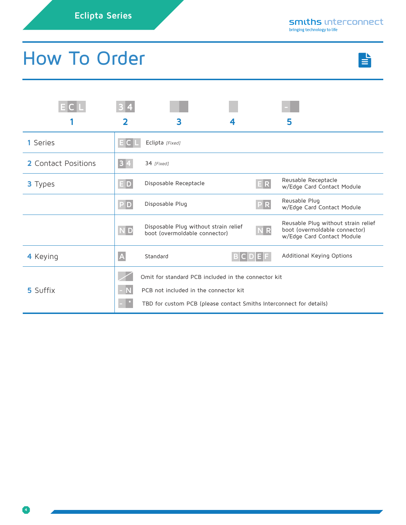# How To Order



|                            | 2              | 3                                                                                                            |           | 5                                                                                                  |
|----------------------------|----------------|--------------------------------------------------------------------------------------------------------------|-----------|----------------------------------------------------------------------------------------------------|
| 1 Series                   |                | Eclipta [Fixed]                                                                                              |           |                                                                                                    |
| <b>2</b> Contact Positions |                | 34 [Fixed]                                                                                                   |           |                                                                                                    |
| <b>3</b> Types             | D              | Disposable Receptacle                                                                                        | E R       | Reusable Receptacle<br>w/Edge Card Contact Module                                                  |
|                            | P D            | Disposable Plug                                                                                              | P R       | Reusable Plug<br>w/Edge Card Contact Module                                                        |
|                            | <b>ND</b>      | Disposable Plug without strain relief<br>boot (overmoldable connector)                                       | <b>NR</b> | Reusable Plug without strain relief<br>boot (overmoldable connector)<br>w/Edge Card Contact Module |
| 4 Keying                   | $\overline{A}$ | Standard                                                                                                     |           | Additional Keying Options                                                                          |
|                            |                | Omit for standard PCB included in the connector kit                                                          |           |                                                                                                    |
| 5 Suffix                   |                | PCB not included in the connector kit<br>TBD for custom PCB (please contact Smiths Interconnect for details) |           |                                                                                                    |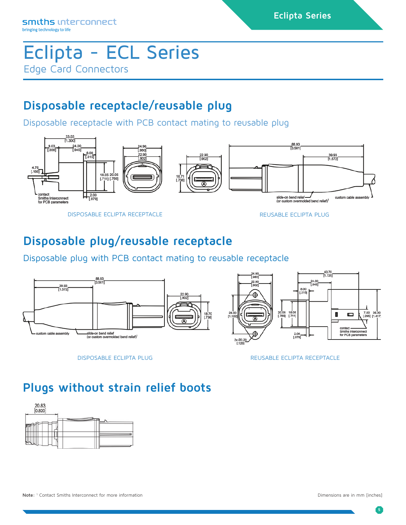# Eclipta - ECL Series Edge Card Connectors

# **Disposable receptacle/reusable plug**

Disposable receptacle with PCB contact mating to reusable plug



DISPOSABLE ECLIPTA RECEPTACLE REUSABLE ECLIPTA PLUG

# **Disposable plug/reusable receptacle**

Disposable plug with PCB contact mating to reusable receptacle



DISPOSABLE ECLIPTA PLUG REUSABLE ECLIPTA RECEPTACLE

# **Plugs without strain relief boots**



**5**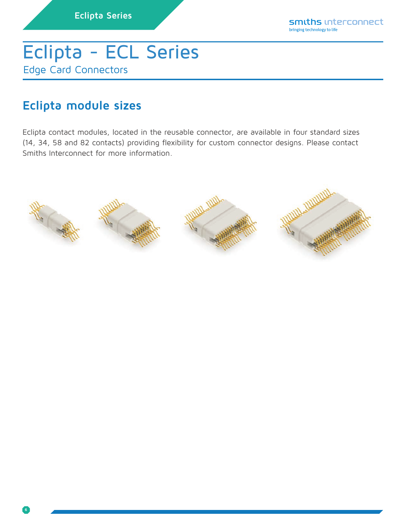# Eclipta - ECL Series Edge Card Connectors

# **Eclipta module sizes**

Eclipta contact modules, located in the reusable connector, are available in four standard sizes (14, 34, 58 and 82 contacts) providing flexibility for custom connector designs. Please contact Smiths Interconnect for more information.

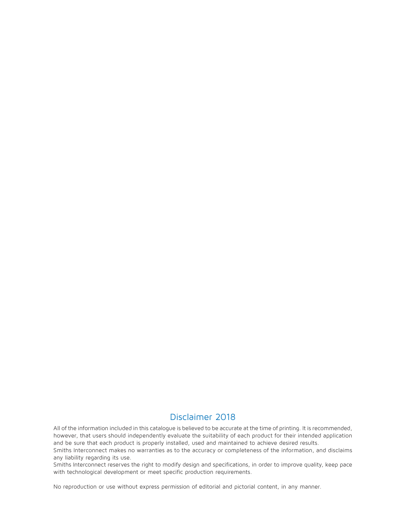### Disclaimer 2018

All of the information included in this catalogue is believed to be accurate at the time of printing. It is recommended, however, that users should independently evaluate the suitability of each product for their intended application and be sure that each product is properly installed, used and maintained to achieve desired results.

Smiths Interconnect makes no warranties as to the accuracy or completeness of the information, and disclaims any liability regarding its use.

Smiths Interconnect reserves the right to modify design and specifications, in order to improve quality, keep pace with technological development or meet specific production requirements.

No reproduction or use without express permission of editorial and pictorial content, in any manner.